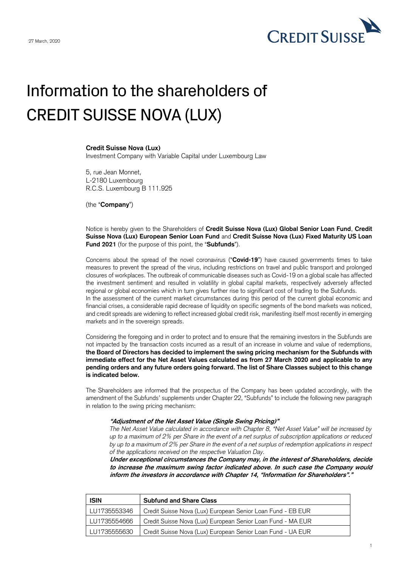

## Information to the shareholders of CREDIT SUISSE NOVA (LUX)

## **Credit Suisse Nova (Lux)**

Investment Company with Variable Capital under Luxembourg Law

5, rue Jean Monnet, L-2180 Luxembourg R.C.S. Luxembourg B 111.925

(the "**Company**")

Notice is hereby given to the Shareholders of **Credit Suisse Nova (Lux) Global Senior Loan Fund**, **Credit Suisse Nova (Lux) European Senior Loan Fund** and **Credit Suisse Nova (Lux) Fixed Maturity US Loan Fund 2021** (for the purpose of this point, the "**Subfunds**").

Concerns about the spread of the novel coronavirus ("**Covid-19**") have caused governments times to take measures to prevent the spread of the virus, including restrictions on travel and public transport and prolonged closures of workplaces. The outbreak of communicable diseases such as Covid-19 on a global scale has affected the investment sentiment and resulted in volatility in global capital markets, respectively adversely affected regional or global economies which in turn gives further rise to significant cost of trading to the Subfunds. In the assessment of the current market circumstances during this period of the current global economic and financial crises, a considerable rapid decrease of liquidity on specific segments of the bond markets was noticed, and credit spreads are widening to reflect increased global credit risk, manifesting itself most recently in emerging markets and in the sovereign spreads.

Considering the foregoing and in order to protect and to ensure that the remaining investors in the Subfunds are not impacted by the transaction costs incurred as a result of an increase in volume and value of redemptions, **the Board of Directors has decided to implement the swing pricing mechanism for the Subfunds with immediate effect for the Net Asset Values calculated as from 27 March 2020 and applicable to any pending orders and any future orders going forward. The list of Share Classes subject to this change is indicated below.**

The Shareholders are informed that the prospectus of the Company has been updated accordingly, with the amendment of the Subfunds' supplements under Chapter 22, "Subfunds" to include the following new paragraph in relation to the swing pricing mechanism:

## **"Adjustment of the Net Asset Value (Single Swing Pricing)"**

*The Net Asset Value calculated in accordance with Chapter 8, "Net Asset Value" will be increased by up to a maximum of 2% per Share in the event of a net surplus of subscription applications or reduced by up to a maximum of 2% per Share in the event of a net surplus of redemption applications in respect of the applications received on the respective Valuation Day.*

**Under exceptional circumstances the Company may, in the interest of Shareholders, decide to increase the maximum swing factor indicated above. In such case the Company would inform the investors in accordance with Chapter 14, "Information for Shareholders"."**

| <b>ISIN</b>    | <b>Subfund and Share Class</b>                              |
|----------------|-------------------------------------------------------------|
| LLU1735553346  | Credit Suisse Nova (Lux) European Senior Loan Fund - EB EUR |
| l LU1735554666 | Credit Suisse Nova (Lux) European Senior Loan Fund - MA EUR |
| LU1735555630   | Credit Suisse Nova (Lux) European Senior Loan Fund - UA EUR |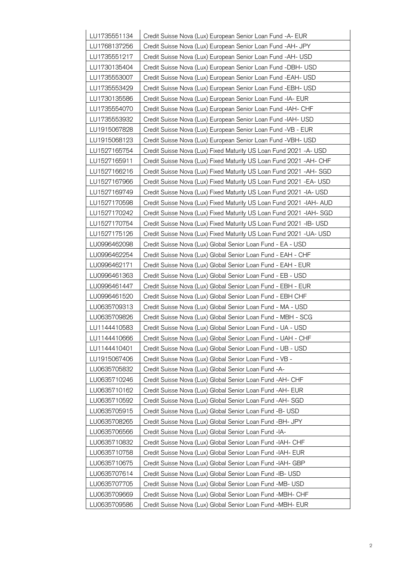| LU1735551134 | Credit Suisse Nova (Lux) European Senior Loan Fund -A- EUR           |
|--------------|----------------------------------------------------------------------|
| LU1768137256 | Credit Suisse Nova (Lux) European Senior Loan Fund - AH- JPY         |
| LU1735551217 | Credit Suisse Nova (Lux) European Senior Loan Fund -AH- USD          |
| LU1730135404 | Credit Suisse Nova (Lux) European Senior Loan Fund -DBH- USD         |
| LU1735553007 | Credit Suisse Nova (Lux) European Senior Loan Fund -EAH- USD         |
| LU1735553429 | Credit Suisse Nova (Lux) European Senior Loan Fund -EBH- USD         |
| LU1730135586 | Credit Suisse Nova (Lux) European Senior Loan Fund -IA- EUR          |
| LU1735554070 | Credit Suisse Nova (Lux) European Senior Loan Fund -IAH- CHF         |
| LU1735553932 | Credit Suisse Nova (Lux) European Senior Loan Fund -IAH- USD         |
| LU1915067828 | Credit Suisse Nova (Lux) European Senior Loan Fund -VB - EUR         |
| LU1915068123 | Credit Suisse Nova (Lux) European Senior Loan Fund -VBH- USD         |
| LU1527165754 | Credit Suisse Nova (Lux) Fixed Maturity US Loan Fund 2021 -A- USD    |
| LU1527165911 | Credit Suisse Nova (Lux) Fixed Maturity US Loan Fund 2021 - AH- CHF  |
| LU1527166216 | Credit Suisse Nova (Lux) Fixed Maturity US Loan Fund 2021 - AH- SGD  |
| LU1527167966 | Credit Suisse Nova (Lux) Fixed Maturity US Loan Fund 2021 - EA- USD  |
| LU1527169749 | Credit Suisse Nova (Lux) Fixed Maturity US Loan Fund 2021 - IA- USD  |
| LU1527170598 | Credit Suisse Nova (Lux) Fixed Maturity US Loan Fund 2021 - IAH- AUD |
| LU1527170242 | Credit Suisse Nova (Lux) Fixed Maturity US Loan Fund 2021 - IAH- SGD |
| LU1527170754 | Credit Suisse Nova (Lux) Fixed Maturity US Loan Fund 2021 - IB- USD  |
| LU1527175126 | Credit Suisse Nova (Lux) Fixed Maturity US Loan Fund 2021 - UA- USD  |
| LU0996462098 | Credit Suisse Nova (Lux) Global Senior Loan Fund - EA - USD          |
| LU0996462254 | Credit Suisse Nova (Lux) Global Senior Loan Fund - EAH - CHF         |
| LU0996462171 | Credit Suisse Nova (Lux) Global Senior Loan Fund - EAH - EUR         |
| LU0996461363 | Credit Suisse Nova (Lux) Global Senior Loan Fund - EB - USD          |
| LU0996461447 | Credit Suisse Nova (Lux) Global Senior Loan Fund - EBH - EUR         |
| LU0996461520 | Credit Suisse Nova (Lux) Global Senior Loan Fund - EBH CHF           |
| LU0635709313 | Credit Suisse Nova (Lux) Global Senior Loan Fund - MA - USD          |
| LU0635709826 | Credit Suisse Nova (Lux) Global Senior Loan Fund - MBH - SCG         |
| LU1144410583 | Credit Suisse Nova (Lux) Global Senior Loan Fund - UA - USD          |
| LU1144410666 | Credit Suisse Nova (Lux) Global Senior Loan Fund - UAH - CHF         |
| LU1144410401 | Credit Suisse Nova (Lux) Global Senior Loan Fund - UB - USD          |
| LU1915067406 | Credit Suisse Nova (Lux) Global Senior Loan Fund - VB -              |
| LU0635705832 | Credit Suisse Nova (Lux) Global Senior Loan Fund -A-                 |
| LU0635710246 | Credit Suisse Nova (Lux) Global Senior Loan Fund -AH- CHF            |
| LU0635710162 | Credit Suisse Nova (Lux) Global Senior Loan Fund -AH- EUR            |
| LU0635710592 | Credit Suisse Nova (Lux) Global Senior Loan Fund -AH- SGD            |
| LU0635705915 | Credit Suisse Nova (Lux) Global Senior Loan Fund -B- USD             |
| LU0635708265 | Credit Suisse Nova (Lux) Global Senior Loan Fund - BH- JPY           |
| LU0635706566 | Credit Suisse Nova (Lux) Global Senior Loan Fund -IA-                |
| LU0635710832 | Credit Suisse Nova (Lux) Global Senior Loan Fund -IAH- CHF           |
| LU0635710758 | Credit Suisse Nova (Lux) Global Senior Loan Fund -IAH- EUR           |
| LU0635710675 | Credit Suisse Nova (Lux) Global Senior Loan Fund -IAH- GBP           |
| LU0635707614 | Credit Suisse Nova (Lux) Global Senior Loan Fund -IB- USD            |
| LU0635707705 | Credit Suisse Nova (Lux) Global Senior Loan Fund -MB- USD            |
| LU0635709669 | Credit Suisse Nova (Lux) Global Senior Loan Fund -MBH- CHF           |
| LU0635709586 | Credit Suisse Nova (Lux) Global Senior Loan Fund -MBH- EUR           |